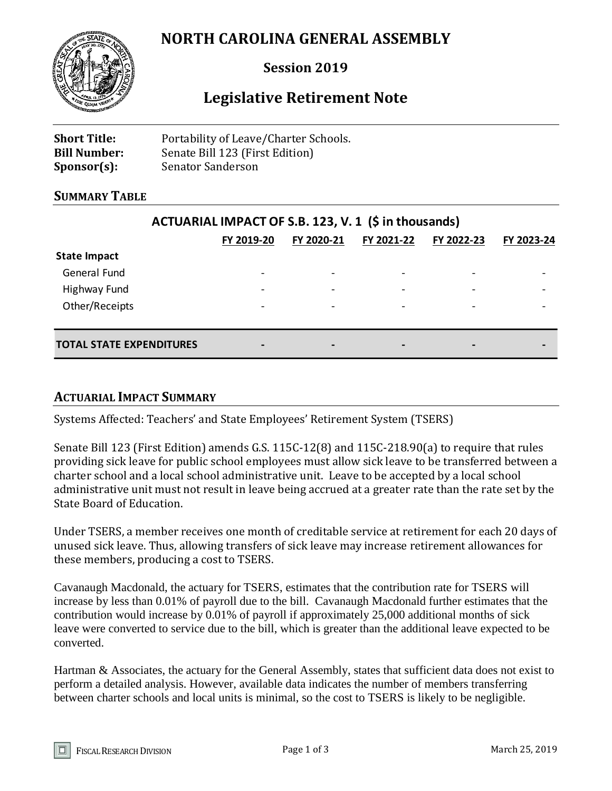# **NORTH CAROLINA GENERAL ASSEMBLY**



### **Session 2019**

## **Legislative Retirement Note**

| <b>Short Title:</b> | Portability of Leave/Charter Schools. |
|---------------------|---------------------------------------|
| <b>Bill Number:</b> | Senate Bill 123 (First Edition)       |
| $Sponsor(s)$ :      | Senator Sanderson                     |

#### **SUMMARY TABLE**

| ACTUARIAL IMPACT OF S.B. 123, V. 1 (\$ in thousands) |                          |            |            |            |                          |
|------------------------------------------------------|--------------------------|------------|------------|------------|--------------------------|
|                                                      | FY 2019-20               | FY 2020-21 | FY 2021-22 | FY 2022-23 | FY 2023-24               |
| <b>State Impact</b>                                  |                          |            |            |            |                          |
| General Fund                                         | $\overline{\phantom{a}}$ |            |            |            |                          |
| Highway Fund                                         | $\overline{\phantom{0}}$ |            |            |            |                          |
| Other/Receipts                                       | $\overline{\phantom{a}}$ |            | ٠          |            | $\overline{\phantom{a}}$ |
| <b>TOTAL STATE EXPENDITURES</b>                      | $\blacksquare$           | -          | -          |            | -                        |

#### **ACTUARIAL IMPACT SUMMARY**

Systems Affected: Teachers' and State Employees' Retirement System (TSERS)

Senate Bill 123 (First Edition) amends G.S. 115C-12(8) and 115C-218.90(a) to require that rules providing sick leave for public school employees must allow sick leave to be transferred between a charter school and a local school administrative unit. Leave to be accepted by a local school administrative unit must not result in leave being accrued at a greater rate than the rate set by the State Board of Education.

Under TSERS, a member receives one month of creditable service at retirement for each 20 days of unused sick leave. Thus, allowing transfers of sick leave may increase retirement allowances for these members, producing a cost to TSERS.

Cavanaugh Macdonald, the actuary for TSERS, estimates that the contribution rate for TSERS will increase by less than 0.01% of payroll due to the bill. Cavanaugh Macdonald further estimates that the contribution would increase by 0.01% of payroll if approximately 25,000 additional months of sick leave were converted to service due to the bill, which is greater than the additional leave expected to be converted.

Hartman & Associates, the actuary for the General Assembly, states that sufficient data does not exist to perform a detailed analysis. However, available data indicates the number of members transferring between charter schools and local units is minimal, so the cost to TSERS is likely to be negligible.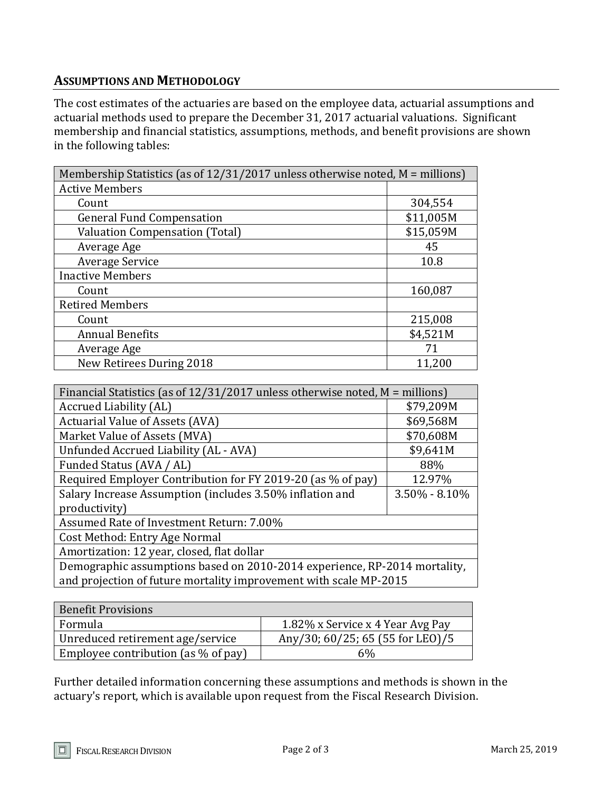#### **ASSUMPTIONS AND METHODOLOGY**

The cost estimates of the actuaries are based on the employee data, actuarial assumptions and actuarial methods used to prepare the December 31, 2017 actuarial valuations. Significant membership and financial statistics, assumptions, methods, and benefit provisions are shown in the following tables:

| Membership Statistics (as of $12/31/2017$ unless otherwise noted, M = millions) |           |  |
|---------------------------------------------------------------------------------|-----------|--|
| <b>Active Members</b>                                                           |           |  |
| Count                                                                           | 304,554   |  |
| <b>General Fund Compensation</b>                                                | \$11,005M |  |
| <b>Valuation Compensation (Total)</b>                                           | \$15,059M |  |
| Average Age                                                                     | 45        |  |
| Average Service                                                                 | 10.8      |  |
| <b>Inactive Members</b>                                                         |           |  |
| Count                                                                           | 160,087   |  |
| <b>Retired Members</b>                                                          |           |  |
| Count                                                                           | 215,008   |  |
| <b>Annual Benefits</b>                                                          | \$4,521M  |  |
| Average Age                                                                     | 71        |  |
| New Retirees During 2018                                                        | 11,200    |  |

| Financial Statistics (as of $12/31/2017$ unless otherwise noted, M = millions) |                   |  |
|--------------------------------------------------------------------------------|-------------------|--|
| Accrued Liability (AL)                                                         | \$79,209M         |  |
| <b>Actuarial Value of Assets (AVA)</b>                                         | \$69,568M         |  |
| Market Value of Assets (MVA)                                                   | \$70,608M         |  |
| Unfunded Accrued Liability (AL - AVA)                                          | \$9,641M          |  |
| Funded Status (AVA / AL)                                                       | 88%               |  |
| Required Employer Contribution for FY 2019-20 (as % of pay)                    | 12.97%            |  |
| Salary Increase Assumption (includes 3.50% inflation and                       | $3.50\% - 8.10\%$ |  |
| productivity)                                                                  |                   |  |
| Assumed Rate of Investment Return: 7.00%                                       |                   |  |
| Cost Method: Entry Age Normal                                                  |                   |  |
| Amortization: 12 year, closed, flat dollar                                     |                   |  |
| Demographic assumptions based on 2010-2014 experience, RP-2014 mortality,      |                   |  |
| and projection of future mortality improvement with scale MP-2015              |                   |  |

| <b>Benefit Provisions</b>              |                                  |
|----------------------------------------|----------------------------------|
| Formula                                | 1.82% x Service x 4 Year Avg Pay |
| Unreduced retirement age/service       | Any/30; 60/25; 65 (55 for LEO)/5 |
| Employee contribution (as $\%$ of pay) | 6%                               |

Further detailed information concerning these assumptions and methods is shown in the actuary's report, which is available upon request from the Fiscal Research Division.